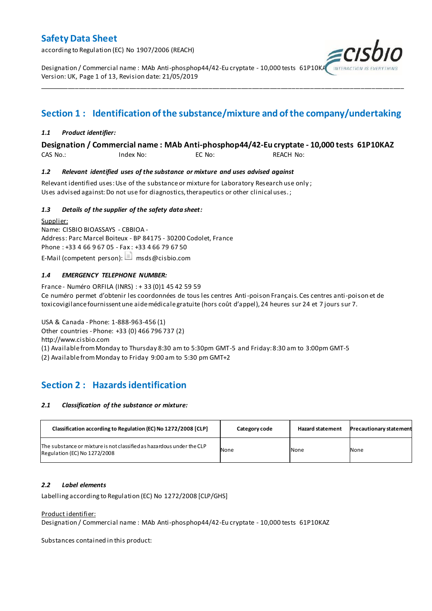according to Regulation (EC) No 1907/2006 (REACH)

Designation / Commercial name : MAb Anti-phosphop44/42-Eu cryptate - 10,000 tests 61P10K/ Version: UK, Page 1 of 13, Revision date: 21/05/2019

## **Section 1 : Identification of the substance/mixture and of the company/undertaking**

\_\_\_\_\_\_\_\_\_\_\_\_\_\_\_\_\_\_\_\_\_\_\_\_\_\_\_\_\_\_\_\_\_\_\_\_\_\_\_\_\_\_\_\_\_\_\_\_\_\_\_\_\_\_\_\_\_\_\_\_\_\_\_\_\_\_\_\_\_\_\_\_\_\_\_\_\_\_\_\_\_\_\_\_\_\_\_\_\_\_\_\_\_\_\_\_\_\_\_\_\_

#### *1.1 Product identifier:*

#### **Designation / Commercial name : MAb Anti-phosphop44/42-Eu cryptate - 10,000 tests 61P10KAZ**

CAS No.: Index No: EC No: REACH No:

#### *1.2 Relevant identified uses of the substance or mixture and uses advised against*

Relevant identified uses: Use of the substance or mixture for Laboratory Research use only ; Uses advised against: Do not use for diagnostics, therapeutics or other clinical uses.;

#### *1.3 Details of the supplier of the safety data sheet:*

Supplier: Name: CISBIO BIOASSAYS - CBBIOA - Address: Parc Marcel Boiteux - BP 84175 - 30200 Codolet, France Phone : +33 4 66 9 67 05 - Fax : +33 4 66 79 67 50 E-Mail (competent person):  $\Box$  msds@cisbio.com

#### *1.4 EMERGENCY TELEPHONE NUMBER:*

France - Numéro ORFILA (INRS) : + 33 (0)1 45 42 59 59 Ce numéro permet d'obtenir les coordonnées de tous les centres Anti-poison Français. Ces centres anti-poison et de toxicovigilance fournissent une aide médicale gratuite (hors coût d'appel), 24 heures sur 24 et 7 jours sur 7.

USA & Canada - Phone: 1-888-963-456 (1) Other countries - Phone: +33 (0) 466 796 737 (2) http://www.cisbio.com (1) Available from Monday to Thursday 8:30 am to 5:30pm GMT-5 and Friday: 8:30 am to 3:00pm GMT-5

(2) Available from Monday to Friday 9:00 am to 5:30 pm GMT+2

### **Section 2 : Hazards identification**

#### *2.1 Classification of the substance or mixture:*

| Classification according to Regulation (EC) No 1272/2008 [CLP]                                        | Category code | <b>Hazard statement</b> | <b>Precautionary statement</b> |
|-------------------------------------------------------------------------------------------------------|---------------|-------------------------|--------------------------------|
| The substance or mixture is not classified as hazardous under the CLP<br>Regulation (EC) No 1272/2008 | None          | None                    | None                           |

#### *2.2 Label elements*

Labelling according to Regulation (EC) No 1272/2008 [CLP/GHS]

#### Product identifier:

Designation / Commercial name : MAb Anti-phosphop44/42-Eu cryptate - 10,000 tests 61P10KAZ

Substances contained in this product: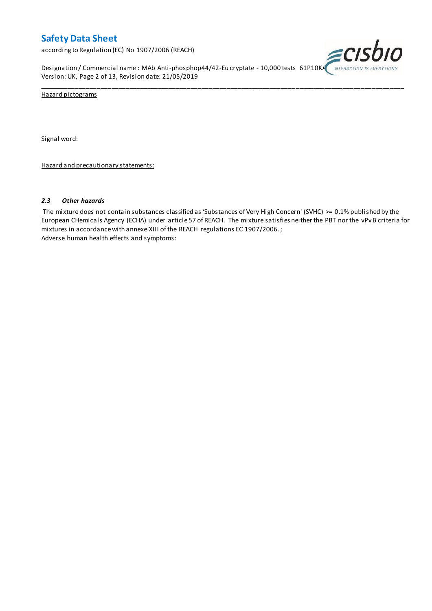according to Regulation (EC) No 1907/2006 (REACH)

Designation / Commercial name : MAb Anti-phosphop44/42-Eu cryptate - 10,000 tests 61P10KA INTERACTION IS EVERYTHING Version: UK, Page 2 of 13, Revision date: 21/05/2019



Hazard pictograms

Signal word:

Hazard and precautionary statements:

#### *2.3 Other hazards*

The mixture does not contain substances classified as 'Substances of Very High Concern' (SVHC) >= 0.1% published by the European CHemicals Agency (ECHA) under article 57 of REACH. The mixture satisfies neither the PBT nor the vPvB criteria for mixtures in accordance with annexe XIII of the REACH regulations EC 1907/2006. ; Adverse human health effects and symptoms:

\_\_\_\_\_\_\_\_\_\_\_\_\_\_\_\_\_\_\_\_\_\_\_\_\_\_\_\_\_\_\_\_\_\_\_\_\_\_\_\_\_\_\_\_\_\_\_\_\_\_\_\_\_\_\_\_\_\_\_\_\_\_\_\_\_\_\_\_\_\_\_\_\_\_\_\_\_\_\_\_\_\_\_\_\_\_\_\_\_\_\_\_\_\_\_\_\_\_\_\_\_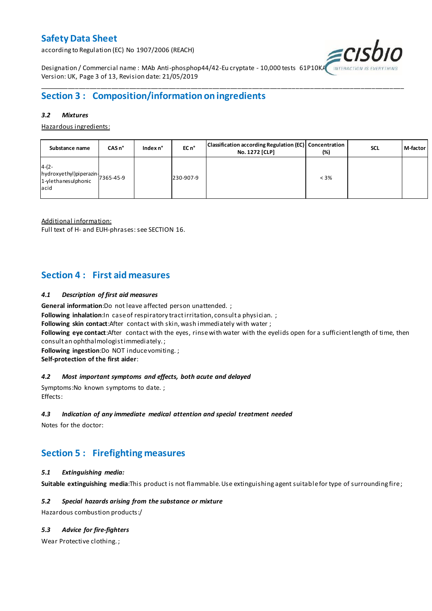according to Regulation (EC) No 1907/2006 (REACH)



Designation / Commercial name : MAb Anti-phosphop44/42-Eu cryptate - 10,000 tests 61P10K/ Version: UK, Page 3 of 13, Revision date: 21/05/2019

## **Section 3 : Composition/information on ingredients**

#### *3.2 Mixtures*

Hazardous ingredients:

| Substance name                                                               | CASn <sup>°</sup> | Index n° | EC n <sup>o</sup> | Classification according Regulation (EC) Concentration<br>No. 1272 [CLP] | (%)     | <b>SCL</b> | M-factor |
|------------------------------------------------------------------------------|-------------------|----------|-------------------|--------------------------------------------------------------------------|---------|------------|----------|
| $4-(2-$<br>hydroxyethyl)piperazin-<br>1-ylethanesulphonic 7365-45-9<br>lacid |                   |          | 230-907-9         |                                                                          | $< 3\%$ |            |          |

\_\_\_\_\_\_\_\_\_\_\_\_\_\_\_\_\_\_\_\_\_\_\_\_\_\_\_\_\_\_\_\_\_\_\_\_\_\_\_\_\_\_\_\_\_\_\_\_\_\_\_\_\_\_\_\_\_\_\_\_\_\_\_\_\_\_\_\_\_\_\_\_\_\_\_\_\_\_\_\_\_\_\_\_\_\_\_\_\_\_\_\_\_\_\_\_\_\_\_\_\_

Additional information:

Full text of H- and EUH-phrases: see SECTION 16.

### **Section 4 : First aid measures**

#### *4.1 Description of first aid measures*

**General information**:Do not leave affected person unattended. ;

**Following inhalation:**In case of respiratory tractirritation, consult a physician. ;

**Following skin contact**:After contact with skin, wash immediately with water ;

**Following eye contact**:After contact with the eyes, rinse with water with the eyelids open for a sufficient length of time, then consult an ophthalmologist immediately. ;

**Following ingestion**:Do NOT induce vomiting. ;

**Self-protection of the first aider**:

#### *4.2 Most important symptoms and effects, both acute and delayed*

Symptoms:No known symptoms to date. ; Effects:

#### *4.3 Indication of any immediate medical attention and special treatment needed*

Notes for the doctor:

## **Section 5 : Firefighting measures**

#### *5.1 Extinguishing media:*

**Suitable extinguishing media**:This product is not flammable. Use extinguishing agent suitable for type of surrounding fire ;

#### *5.2 Special hazards arising from the substance or mixture*

Hazardous combustion products:/

#### *5.3 Advice for fire-fighters*

Wear Protective clothing. ;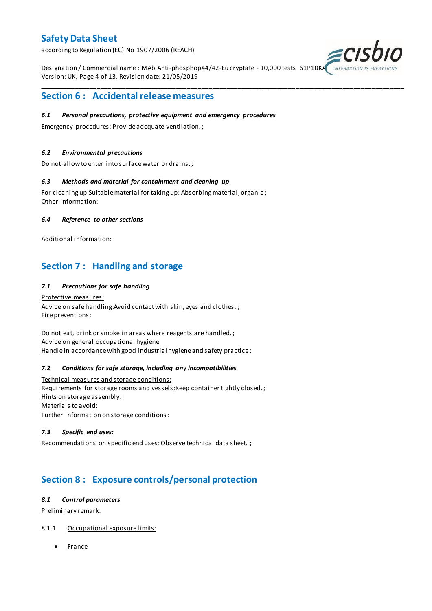according to Regulation (EC) No 1907/2006 (REACH)

Designation / Commercial name : MAb Anti-phosphop44/42-Eu cryptate - 10,000 tests 61P10KA Version: UK, Page 4 of 13, Revision date: 21/05/2019

\_\_\_\_\_\_\_\_\_\_\_\_\_\_\_\_\_\_\_\_\_\_\_\_\_\_\_\_\_\_\_\_\_\_\_\_\_\_\_\_\_\_\_\_\_\_\_\_\_\_\_\_\_\_\_\_\_\_\_\_\_\_\_\_\_\_\_\_\_\_\_\_\_\_\_\_\_\_\_\_\_\_\_\_\_\_\_\_\_\_\_\_\_\_\_\_\_\_\_\_\_



### **Section 6 : Accidental release measures**

#### *6.1 Personal precautions, protective equipment and emergency procedures*

Emergency procedures: Provide adequate ventilation. ;

#### *6.2 Environmental precautions*

Do not allow to enter into surface water or drains. ;

#### *6.3 Methods and material for containment and cleaning up*

For cleaning up:Suitable material for taking up: Absorbing material, organic ; Other information:

#### *6.4 Reference to other sections*

Additional information:

## **Section 7 : Handling and storage**

#### *7.1 Precautions for safe handling*

Protective measures: Advice on safe handling: Avoid contact with skin, eyes and clothes.; Fire preventions:

Do not eat, drink or smoke in areas where reagents are handled. ; Advice on general occupational hygiene Handle in accordance with good industrial hygiene and safety practice ;

#### *7.2 Conditions for safe storage, including any incompatibilities*

Technical measures and storage conditions: Requirements for storage rooms and vessels: Keep container tightly closed.; Hints on storage assembly: Materials to avoid: Further information on storage conditions:

#### *7.3 Specific end uses:*

Recommendations on specific end uses: Observe technical data sheet. ;

## **Section 8 : Exposure controls/personal protection**

#### *8.1 Control parameters*

Preliminary remark:

#### 8.1.1 Occupational exposure limits:

• France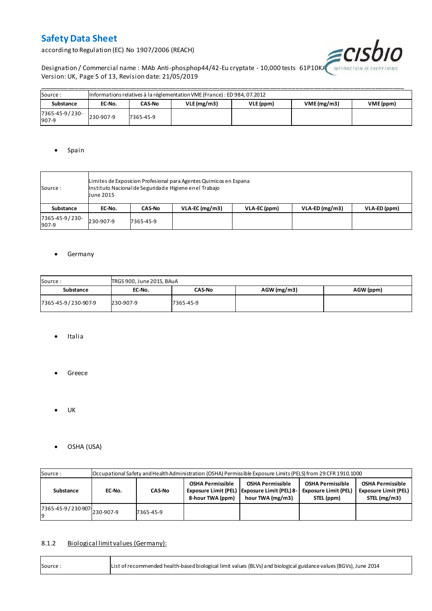according to Regulation (EC) No 1907/2006 (REACH)



Designation / Commercial name : MAb Anti-phosphop44/42-Eu cryptate - 10,000 tests 61P10KA INTERACTION IS EVERYTHING Version: UK, Page 5 of 13, Revision date: 21/05/2019

| Source:                 | Informations relatives à la réglementation VME (France) : ED 984, 07.2012 |           |            |           |                         |  |  |  |  |  |  |  |
|-------------------------|---------------------------------------------------------------------------|-----------|------------|-----------|-------------------------|--|--|--|--|--|--|--|
| Substance               | EC-No.                                                                    | CAS-No    | VLE(mg/m3) | VLE (ppm) | VME(mg/m3)<br>VME (ppm) |  |  |  |  |  |  |  |
| 7365-45-9/230-<br>907-9 | 230-907-9                                                                 | 7365-45-9 |            |           |                         |  |  |  |  |  |  |  |

#### • Spain

| Source :                | Limites de Exposicion Profesional para Agentes Quimicos en Espana<br>Instituto Nacional de Seguridade Higiene en el Trabajo<br>June 2015 |               |                  |              |                  |              |  |  |  |  |
|-------------------------|------------------------------------------------------------------------------------------------------------------------------------------|---------------|------------------|--------------|------------------|--------------|--|--|--|--|
| Substance               | EC-No.                                                                                                                                   | <b>CAS-No</b> | $VLA-EC$ (mg/m3) | VLA-EC (ppm) | $VLA-ED (mg/m3)$ | VLA-ED (ppm) |  |  |  |  |
| 7365-45-9/230-<br>907-9 | 230-907-9                                                                                                                                | 7365-45-9     |                  |              |                  |              |  |  |  |  |

#### **•** Germany

| Source:<br>TRGS 900, June 2015, BAuA |           |               |               |           |  |  |  |  |  |
|--------------------------------------|-----------|---------------|---------------|-----------|--|--|--|--|--|
| Substance                            | EC-No.    | <b>CAS-No</b> | $AGW$ (mg/m3) | AGW (ppm) |  |  |  |  |  |
| 7365-45-9/230-907-9                  | 230-907-9 | 7365-45-9     |               |           |  |  |  |  |  |

- Italia
- **•** Greece
- $\bullet$  UK
- OSHA (USA)

| Source:                     | Occupational Safety and Health Administration (OSHA) Permissible Exposure Limits (PELS) from 29 CFR 1910.1000 |               |  |                                                                                             |                                                                      |                                                                        |  |  |  |  |  |
|-----------------------------|---------------------------------------------------------------------------------------------------------------|---------------|--|---------------------------------------------------------------------------------------------|----------------------------------------------------------------------|------------------------------------------------------------------------|--|--|--|--|--|
| Substance                   | EC-No.                                                                                                        | <b>CAS-No</b> |  | <b>OSHA Permissible</b><br>Exposure Limit (PEL) Exposure Limit (PEL) 8-<br>hour TWA (mg/m3) | <b>OSHA Permissible</b><br><b>Exposure Limit (PEL)</b><br>STEL (ppm) | <b>OSHA Permissible</b><br><b>Exposure Limit (PEL)</b><br>STEL (mg/m3) |  |  |  |  |  |
| 7365-45-9/230-907 230-907-9 |                                                                                                               | 7365-45-9     |  |                                                                                             |                                                                      |                                                                        |  |  |  |  |  |

#### 8.1.2 Biological limit values (Germany):

| Source: | List of recommended health-based biological limit values (BLVs) and biological guidance values (BGVs), June 2014 |
|---------|------------------------------------------------------------------------------------------------------------------|
|---------|------------------------------------------------------------------------------------------------------------------|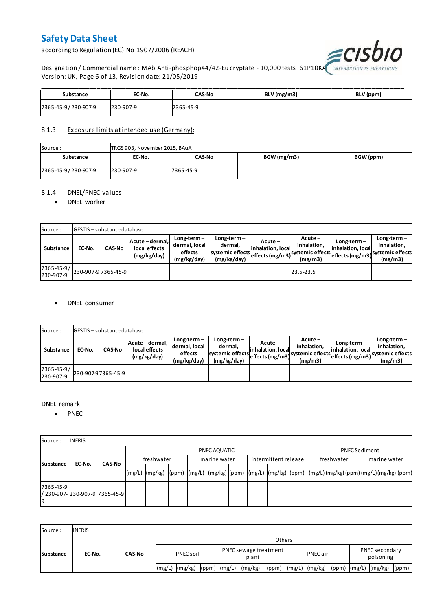according to Regulation (EC) No 1907/2006 (REACH)



Designation / Commercial name : MAb Anti-phosphop44/42-Eu cryptate - 10,000 tests 61P10KA Version: UK, Page 6 of 13, Revision date: 21/05/2019

| Substance           | EC-No.    | CAS-No    | BLV (mg/m3) | BLV (ppm) |
|---------------------|-----------|-----------|-------------|-----------|
| 7365-45-9/230-907-9 | 230-907-9 | 7365-45-9 |             |           |

#### 8.1.3 Exposure limits at intended use (Germany):

| Source:             | TRGS 903, November 2015, BAuA |           |             |           |  |  |  |  |  |  |
|---------------------|-------------------------------|-----------|-------------|-----------|--|--|--|--|--|--|
| Substance           | EC-No.                        | CAS-No    | BGW (mg/m3) | BGW (ppm) |  |  |  |  |  |  |
| 7365-45-9/230-907-9 | 230-907-9                     | 7365-45-9 |             |           |  |  |  |  |  |  |

#### 8.1.4 DNEL/PNEC-values:

#### • DNEL worker

| Source:                 |        | <b>GESTIS</b> - substance database |                                                 |                                                          |                                                           |                                 |                                                                            |                                    |                                                                                 |
|-------------------------|--------|------------------------------------|-------------------------------------------------|----------------------------------------------------------|-----------------------------------------------------------|---------------------------------|----------------------------------------------------------------------------|------------------------------------|---------------------------------------------------------------------------------|
| Substance               | EC-No. | <b>CAS-No</b>                      | Acute - dermal,<br>local effects<br>(mg/kg/day) | $Long-term -$<br>dermal, local<br>effects<br>(mg/kg/day) | Long-term –<br>dermal.<br>systemic effects<br>(mg/kg/day) | $Acute -$<br>linhalation. local | $Acute -$<br>inhalation.<br>vuleffects (mg/m3) systemic effects<br>(mg/m3) | $Long-term -$<br>inhalation, local | $Long-term -$<br>inhalation.<br>~~ leffects (mg/m3) systemic effects<br>(mg/m3) |
| 7365-45-9/<br>230-907-9 |        | 230-907-97365-45-9                 |                                                 |                                                          |                                                           |                                 | 23.5-23.5                                                                  |                                    |                                                                                 |

#### DNEL consumer

| Source:                       |        | GESTIS - substance database |                                               |                                                          |                                                             |                              |                                                                           |                                  |                                                                              |  |  |  |  |  |
|-------------------------------|--------|-----------------------------|-----------------------------------------------|----------------------------------------------------------|-------------------------------------------------------------|------------------------------|---------------------------------------------------------------------------|----------------------------------|------------------------------------------------------------------------------|--|--|--|--|--|
| Substance                     | EC-No. | <b>CAS-No</b>               | Acute-dermal.<br>local effects<br>(mg/kg/day) | $Long-term -$<br>dermal, local<br>effects<br>(mg/kg/day) | $Long-term -$<br>dermal,<br>systemic effects<br>(mg/kg/day) | Acute –<br>inhalation, local | $Acute -$<br>inhalation.<br>"leffects (mg/m3) systemic effects<br>(mg/m3) | Long-term –<br>inhalation, local | $Long-term -$<br>inhalation.<br>weffects (mg/m3) systemic effects<br>(mg/m3) |  |  |  |  |  |
| $7365 - 45 - 9/$<br>230-907-9 |        | 230-907-97365-45-9          |                                               |                                                          |                                                             |                              |                                                                           |                                  |                                                                              |  |  |  |  |  |

#### DNEL remark:

• PNEC

| Source:         | <b>INERIS</b>                  |               |            |                                                                                                                  |  |  |              |  |                      |  |            |                      |              |  |  |  |
|-----------------|--------------------------------|---------------|------------|------------------------------------------------------------------------------------------------------------------|--|--|--------------|--|----------------------|--|------------|----------------------|--------------|--|--|--|
| Substance       |                                |               |            | PNEC AQUATIC                                                                                                     |  |  |              |  |                      |  |            | <b>PNEC Sediment</b> |              |  |  |  |
|                 | EC-No.                         | <b>CAS-No</b> | freshwater |                                                                                                                  |  |  | marine water |  | intermittent release |  | freshwater |                      | marine water |  |  |  |
|                 |                                |               |            | (mg/L)  (mg/kg)  (ppm)  (mg/L)  (mg/kg) (ppm)  (mg/L)  (mg/kg)  (ppm)  (mg/L) (mg/kg) (ppm) (mg/L) (mg/kg) (ppm) |  |  |              |  |                      |  |            |                      |              |  |  |  |
| 7365-45-9<br>19 | / 230-907- 230-907-9 7365-45-9 |               |            |                                                                                                                  |  |  |              |  |                      |  |            |                      |              |  |  |  |

| Source:          | <b>INERIS</b> |               |                    |                                      |                |                               |  |  |  |  |  |
|------------------|---------------|---------------|--------------------|--------------------------------------|----------------|-------------------------------|--|--|--|--|--|
| <b>Substance</b> | EC-No.        | <b>CAS-No</b> | <b>Others</b>      |                                      |                |                               |  |  |  |  |  |
|                  |               |               | PNEC soil          | PNEC sewage treatment<br>plant       | PNEC air       | PNEC secondary<br>poisoning   |  |  |  |  |  |
|                  |               |               | (mg/kg)<br>l(mg/L) | (mg/kg)<br>$(ppm)$ $(mg/L)$<br>(ppm) | (mg/L) (mg/kg) | (ppm) (mg/L) (mg/kg)<br>(ppm) |  |  |  |  |  |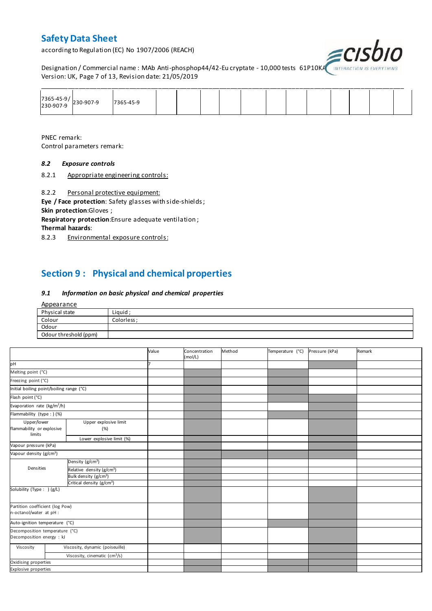according to Regulation (EC) No 1907/2006 (REACH)



Designation / Commercial name : MAb Anti-phosphop44/42-Eu cryptate - 10,000 tests 61P10KA INTERACTION IS I Version: UK, Page 7 of 13, Revision date: 21/05/2019

| $\begin{array}{ c c c }\n 7365-45-9/230-907-9\n \end{array}$ | 7365-45-9 |  |  |  |  |  |  |
|--------------------------------------------------------------|-----------|--|--|--|--|--|--|

PNEC remark: Control parameters remark:

#### *8.2 Exposure controls*

8.2.1 Appropriate engineering controls:

8.2.2 Personal protective equipment:

**Eye / Face protection**: Safety glasses with side-shields ; **Skin protection**:Gloves ;

**Respiratory protection**:Ensure adequate ventilation ;

**Thermal hazards**:

8.2.3 Environmental exposure controls:

## **Section 9 : Physical and chemical properties**

#### *9.1 Information on basic physical and chemical properties*

| Appearance            |             |
|-----------------------|-------------|
| Physical state        | Liquid ;    |
| Colour                | Colorless : |
| Odour                 |             |
| Odour threshold (ppm) |             |

|                                                             |                                       | Value | Concentration<br>(mol/L) | Method | Temperature (°C) | Pressure (kPa) | Remark |
|-------------------------------------------------------------|---------------------------------------|-------|--------------------------|--------|------------------|----------------|--------|
| pH                                                          |                                       |       |                          |        |                  |                |        |
| Melting point (°C)                                          |                                       |       |                          |        |                  |                |        |
| Freezing point (°C)                                         |                                       |       |                          |        |                  |                |        |
| Initial boiling point/boiling range (°C)                    |                                       |       |                          |        |                  |                |        |
| Flash point (°C)                                            |                                       |       |                          |        |                  |                |        |
| Evaporation rate (kg/m <sup>2</sup> /h)                     |                                       |       |                          |        |                  |                |        |
| Flammability (type : ) (%)                                  |                                       |       |                          |        |                  |                |        |
| Upper/lower<br>flammability or explosive<br>limits          | Upper explosive limit<br>(%)          |       |                          |        |                  |                |        |
|                                                             | Lower explosive limit (%)             |       |                          |        |                  |                |        |
| Vapour pressure (kPa)                                       |                                       |       |                          |        |                  |                |        |
| Vapour density (g/cm <sup>3</sup> )                         |                                       |       |                          |        |                  |                |        |
|                                                             | Density (g/cm <sup>3</sup> )          |       |                          |        |                  |                |        |
| Densities                                                   | Relative density (g/cm <sup>3</sup> ) |       |                          |        |                  |                |        |
|                                                             | Bulk density (g/cm <sup>3</sup> )     |       |                          |        |                  |                |        |
|                                                             | Critical density (g/cm <sup>3</sup> ) |       |                          |        |                  |                |        |
| Solubility (Type: ) (g/L)                                   |                                       |       |                          |        |                  |                |        |
| Partition coefficient (log Pow)<br>n-octanol/water at pH :  |                                       |       |                          |        |                  |                |        |
| Auto-ignition temperature (°C)                              |                                       |       |                          |        |                  |                |        |
| Decomposition temperature (°C)<br>Decomposition energy : kJ |                                       |       |                          |        |                  |                |        |
| Viscosity                                                   | Viscosity, dynamic (poiseuille)       |       |                          |        |                  |                |        |
|                                                             | Viscosity, cinematic $(cm3/s)$        |       |                          |        |                  |                |        |
| Oxidising properties                                        |                                       |       |                          |        |                  |                |        |
| <b>Explosive properties</b>                                 |                                       |       |                          |        |                  |                |        |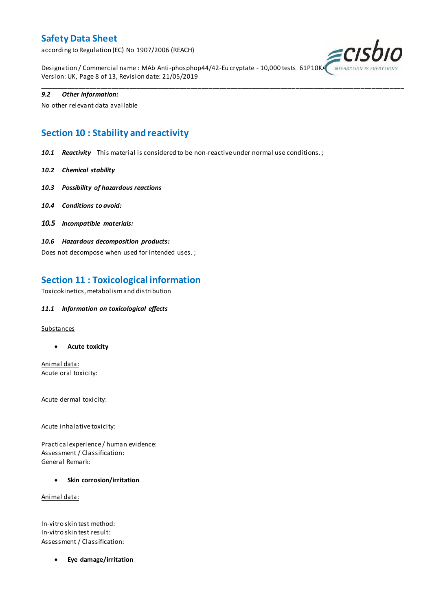according to Regulation (EC) No 1907/2006 (REACH)



Designation / Commercial name : MAb Anti-phosphop44/42-Eu cryptate - 10,000 tests 61P10K/ Version: UK, Page 8 of 13, Revision date: 21/05/2019

\_\_\_\_\_\_\_\_\_\_\_\_\_\_\_\_\_\_\_\_\_\_\_\_\_\_\_\_\_\_\_\_\_\_\_\_\_\_\_\_\_\_\_\_\_\_\_\_\_\_\_\_\_\_\_\_\_\_\_\_\_\_\_\_\_\_\_\_\_\_\_\_\_\_\_\_\_\_\_\_\_\_\_\_\_\_\_\_\_\_\_\_\_\_\_\_\_\_\_\_\_

#### *9.2 Other information:*

No other relevant data available

## **Section 10 : Stability and reactivity**

*10.1 Reactivity* This material is considered to be non-reactive under normal use conditions. ;

- *10.2 Chemical stability*
- *10.3 Possibility of hazardous reactions*
- *10.4 Conditions to avoid:*
- *10.5 Incompatible materials:*
- *10.6 Hazardous decomposition products:*

Does not decompose when used for intended uses. ;

### **Section 11 : Toxicological information**

Toxicokinetics, metabolism and distribution

#### *11.1 Information on toxicological effects*

#### **Substances**

**Acute toxicity**

Animal data: Acute oral toxicity:

Acute dermal toxicity:

Acute inhalative toxicity:

Practical experience / human evidence: Assessment / Classification: General Remark:

**Skin corrosion/irritation**

Animal data:

In-vitro skin test method: In-vitro skin test result: Assessment / Classification:

**Eye damage/irritation**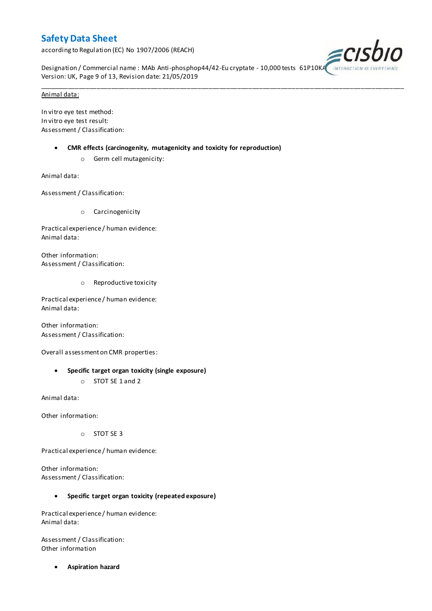according to Regulation (EC) No 1907/2006 (REACH)



Designation / Commercial name : MAb Anti-phosphop44/42-Eu cryptate - 10,000 tests 61P10KA Version: UK, Page 9 of 13, Revision date: 21/05/2019

\_\_\_\_\_\_\_\_\_\_\_\_\_\_\_\_\_\_\_\_\_\_\_\_\_\_\_\_\_\_\_\_\_\_\_\_\_\_\_\_\_\_\_\_\_\_\_\_\_\_\_\_\_\_\_\_\_\_\_\_\_\_\_\_\_\_\_\_\_\_\_\_\_\_\_\_\_\_\_\_\_\_\_\_\_\_\_\_\_\_\_\_\_\_\_\_\_\_\_\_\_

#### Animal data:

In vitro eye test method: In vitro eye test result: Assessment / Classification:

- **CMR effects (carcinogenity, mutagenicity and toxicity for reproduction)**
	- o Germ cell mutagenicity:

Animal data:

Assessment / Classification:

o Carcinogenicity

Practical experience / human evidence: Animal data:

Other information: Assessment / Classification:

o Reproductive toxicity

Practical experience / human evidence: Animal data:

Other information: Assessment / Classification:

Overall assessment on CMR properties:

- **Specific target organ toxicity (single exposure)**
	- o STOT SE 1 and 2

Animal data:

Other information:

o STOT SE 3

Practical experience / human evidence:

Other information: Assessment / Classification:

#### **Specific target organ toxicity (repeated exposure)**

Practical experience / human evidence: Animal data:

Assessment / Classification: Other information

**Aspiration hazard**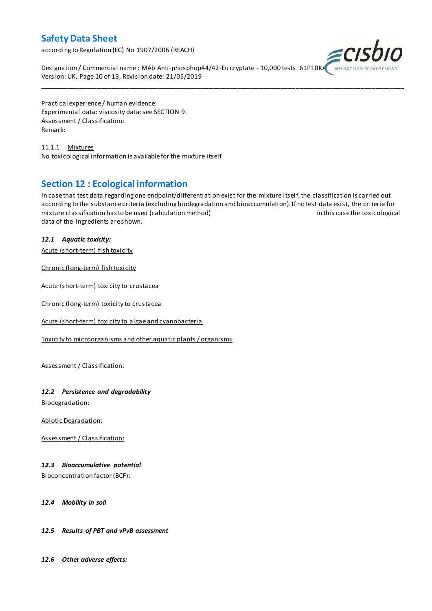according to Regulation (EC) No 1907/2006 (REACH)



Designation / Commercial name : MAb Anti-phosphop44/42-Eu cryptate - 10,000 tests 61P10KA Version: UK, Page 10 of 13, Revision date: 21/05/2019

Practical experience / human evidence: Experimental data: viscosity data: see SECTION 9. Assessment / Classification: Remark:

11.1.1 Mixtures No toxicological information is available for the mixture itself

## **Section 12 : Ecological information**

In case that test data regarding one endpoint/differentiation exist for the mixture itself, the classification is carried out according to the substance criteria (excluding biodegradation and bioaccumulation). If no test data exist, the criteria for mixture classification has to be used (calculation method) in this case the toxicological data of the ingredients are shown.

\_\_\_\_\_\_\_\_\_\_\_\_\_\_\_\_\_\_\_\_\_\_\_\_\_\_\_\_\_\_\_\_\_\_\_\_\_\_\_\_\_\_\_\_\_\_\_\_\_\_\_\_\_\_\_\_\_\_\_\_\_\_\_\_\_\_\_\_\_\_\_\_\_\_\_\_\_\_\_\_\_\_\_\_\_\_\_\_\_\_\_\_\_\_\_\_\_\_\_\_\_

#### *12.1 Aquatic toxicity:*

Acute (short-term) fish toxicity

Chronic (long-term) fish toxicity

Acute (short-term) toxicity to crustacea

Chronic (long-term) toxicity to crustacea

Acute (short-term) toxicity to algae and cyanobacteria

Toxicity to microorganisms and other aquatic plants / organisms

Assessment / Classification:

#### *12.2 Persistence and degradability*

Biodegradation:

Abiotic Degradation:

Assessment / Classification:

#### *12.3 Bioaccumulative potential*

Bioconcentration factor (BCF):

#### *12.4 Mobility in soil*

#### *12.5 Results of PBT and vPvB assessment*

*12.6 Other adverse effects:*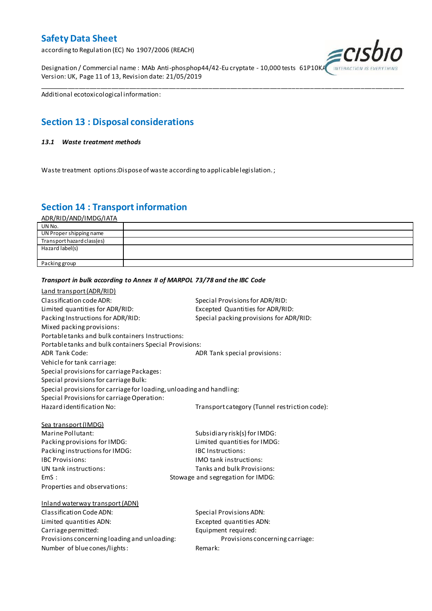according to Regulation (EC) No 1907/2006 (REACH)

Designation / Commercial name : MAb Anti-phosphop44/42-Eu cryptate - 10,000 tests 61P10K/ Version: UK, Page 11 of 13, Revision date: 21/05/2019



Additional ecotoxicological information:

## **Section 13 : Disposal considerations**

#### *13.1 Waste treatment methods*

Waste treatment options:Dispose of waste according to applicable legislation. ;

*Transport in bulk according to Annex II of MARPOL 73/78 and the IBC Code*

### **Section 14 : Transport information**

ADR/RID/AND/IMDG/IATA

| UN No.                     |  |
|----------------------------|--|
| UN Proper shipping name    |  |
| Transport hazard class(es) |  |
| Hazard label(s)            |  |
|                            |  |
| Packing group              |  |

\_\_\_\_\_\_\_\_\_\_\_\_\_\_\_\_\_\_\_\_\_\_\_\_\_\_\_\_\_\_\_\_\_\_\_\_\_\_\_\_\_\_\_\_\_\_\_\_\_\_\_\_\_\_\_\_\_\_\_\_\_\_\_\_\_\_\_\_\_\_\_\_\_\_\_\_\_\_\_\_\_\_\_\_\_\_\_\_\_\_\_\_\_\_\_\_\_\_\_\_\_

### Land transport (ADR/RID) Classification code ADR: Special Provisions for ADR/RID: Limited quantities for ADR/RID:<br>
Packing Instructions for ADR/RID: Special packing provisions for ADI Special packing provisions for ADR/RID: Mixed packing provisions: Portable tanks and bulk containers Instructions: Portable tanks and bulk containers Special Provisions: ADR Tank Code: ADR Tank special provisions: Vehicle for tank carriage: Special provisions for carriage Packages: Special provisions for carriage Bulk: Special provisions for carriage for loading, unloading and handling: Special Provisions for carriage Operation: Hazard identification No: Transport category (Tunnel restriction code): Sea transport (IMDG) Marine Pollutant: Subsidiary risk(s) for IMDG: Packing provisions for IMDG: Limited quantities for IMDG: Packing instructions for IMDG: IBC Instructions: IBC Provisions: IMO tank instructions: UN tank instructions: Tanks and bulk Provisions: EmS : Stowage and segregation for IMDG: Properties and observations: Inland waterway transport (ADN) Classification Code ADN: Special Provisions ADN: Limited quantities ADN: Excepted quantities ADN: Carriage permitted: Carriage permitted: Provisions concerning loading and unloading: Provisions concerning carriage: Number of blue cones/lights: Remark: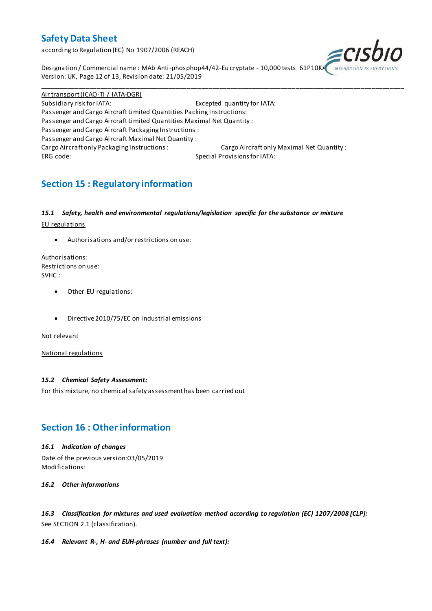according to Regulation (EC) No 1907/2006 (REACH)



Designation / Commercial name : MAb Anti-phosphop44/42-Eu cryptate - 10,000 tests 61P10K/ Version: UK, Page 12 of 13, Revision date: 21/05/2019

Air transport (ICAO-TI / IATA-DGR) Subsidiary risk for IATA: Excepted quantity for IATA: Passenger and Cargo Aircraft Limited Quantities Packing Instructions: Passenger and Cargo Aircraft Limited Quantities Maximal Net Quantity : Passenger and Cargo Aircraft Packaging Instructions : Passenger and Cargo Aircraft Maximal Net Quantity : Cargo Aircraft only Packaging Instructions : Cargo Aircraft only Maximal Net Quantity : ERG code: Special Provisions for IATA:

\_\_\_\_\_\_\_\_\_\_\_\_\_\_\_\_\_\_\_\_\_\_\_\_\_\_\_\_\_\_\_\_\_\_\_\_\_\_\_\_\_\_\_\_\_\_\_\_\_\_\_\_\_\_\_\_\_\_\_\_\_\_\_\_\_\_\_\_\_\_\_\_\_\_\_\_\_\_\_\_\_\_\_\_\_\_\_\_\_\_\_\_\_\_\_\_\_\_\_\_\_

## **Section 15 : Regulatory information**

#### *15.1 Safety, health and environmental regulations/legislation specific for the substance or mixture*

EU regulations

Authorisations and/or restrictions on use:

Authorisations: Restrictions on use: SVHC :

- Other EU regulations:
- Directive 2010/75/EC on industrial emissions

Not relevant

National regulations

#### *15.2 Chemical Safety Assessment:*

For this mixture, no chemical safety assessment has been carried out

### **Section 16 : Other information**

#### *16.1 Indication of changes*

Date of the previous version:03/05/2019 Modifications:

*16.2 Other informations*

*16.3 Classification for mixtures and used evaluation method according to regulation (EC) 1207/2008 [CLP]:* See SECTION 2.1 (classification).

#### *16.4 Relevant R-, H- and EUH-phrases (number and full text):*